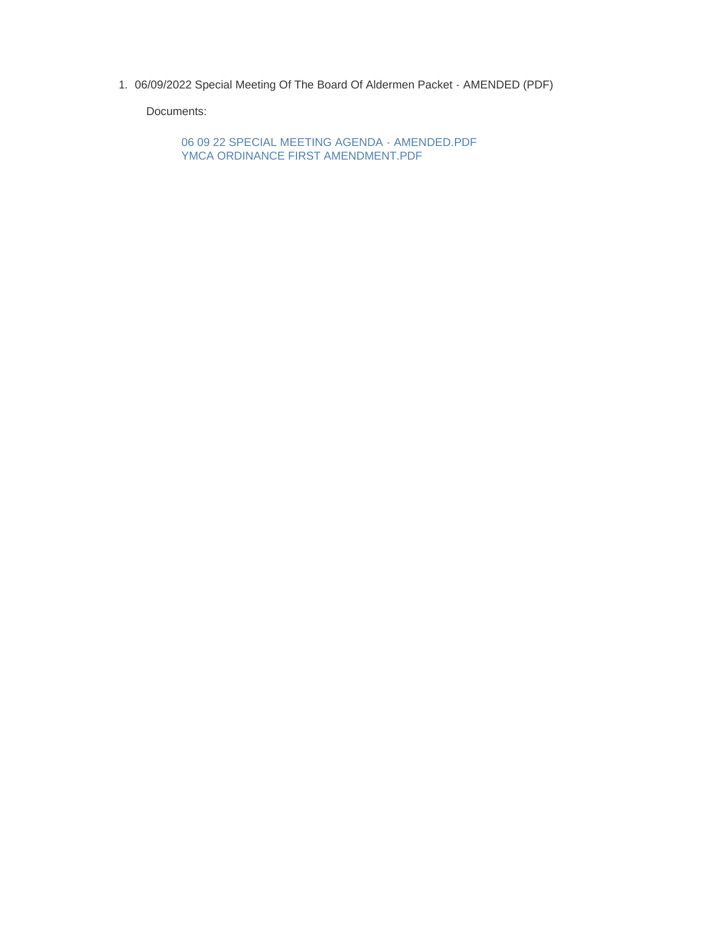1. 06/09/2022 Special Meeting Of The Board Of Aldermen Packet - AMENDED (PDF)

Documents:

06 09 22 SPECIAL MEETING AGENDA - AMENDED.PDF YMCA ORDINANCE FIRST AMENDMENT.PDF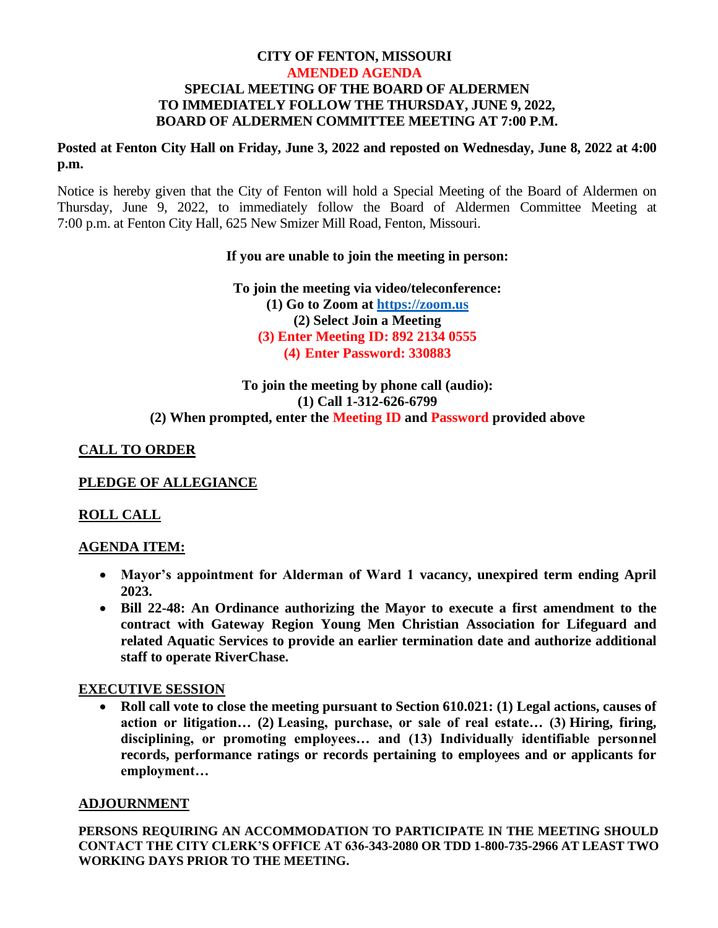#### **CITY OF FENTON, MISSOURI AMENDED AGENDA SPECIAL MEETING OF THE BOARD OF ALDERMEN TO IMMEDIATELY FOLLOW THE THURSDAY, JUNE 9, 2022, BOARD OF ALDERMEN COMMITTEE MEETING AT 7:00 P.M.**

## **Posted at Fenton City Hall on Friday, June 3, 2022 and reposted on Wednesday, June 8, 2022 at 4:00 p.m.**

Notice is hereby given that the City of Fenton will hold a Special Meeting of the Board of Aldermen on Thursday, June 9, 2022, to immediately follow the Board of Aldermen Committee Meeting at 7:00 p.m. at Fenton City Hall, 625 New Smizer Mill Road, Fenton, Missouri.

### **If you are unable to join the meeting in person:**

**To join the meeting via video/teleconference: (1) Go to Zoom at [https://zoom.us](https://zoom.us/) (2) Select Join a Meeting (3) Enter Meeting ID: 892 2134 0555 (4) Enter Password: 330883**

# **To join the meeting by phone call (audio): (1) Call 1-312-626-6799 (2) When prompted, enter the Meeting ID and Password provided above**

# **CALL TO ORDER**

# **PLEDGE OF ALLEGIANCE**

# **ROLL CALL**

# **AGENDA ITEM:**

- **Mayor's appointment for Alderman of Ward 1 vacancy, unexpired term ending April 2023.**
- **Bill 22-48: An Ordinance authorizing the Mayor to execute a first amendment to the contract with Gateway Region Young Men Christian Association for Lifeguard and related Aquatic Services to provide an earlier termination date and authorize additional staff to operate RiverChase.**

# **EXECUTIVE SESSION**

• **Roll call vote to close the meeting pursuant to Section 610.021: (1) Legal actions, causes of action or litigation… (2) Leasing, purchase, or sale of real estate… (3) Hiring, firing, disciplining, or promoting employees… and (13) Individually identifiable personnel records, performance ratings or records pertaining to employees and or applicants for employment…**

# **ADJOURNMENT**

**PERSONS REQUIRING AN ACCOMMODATION TO PARTICIPATE IN THE MEETING SHOULD CONTACT THE CITY CLERK'S OFFICE AT 636-343-2080 OR TDD 1-800-735-2966 AT LEAST TWO WORKING DAYS PRIOR TO THE MEETING.**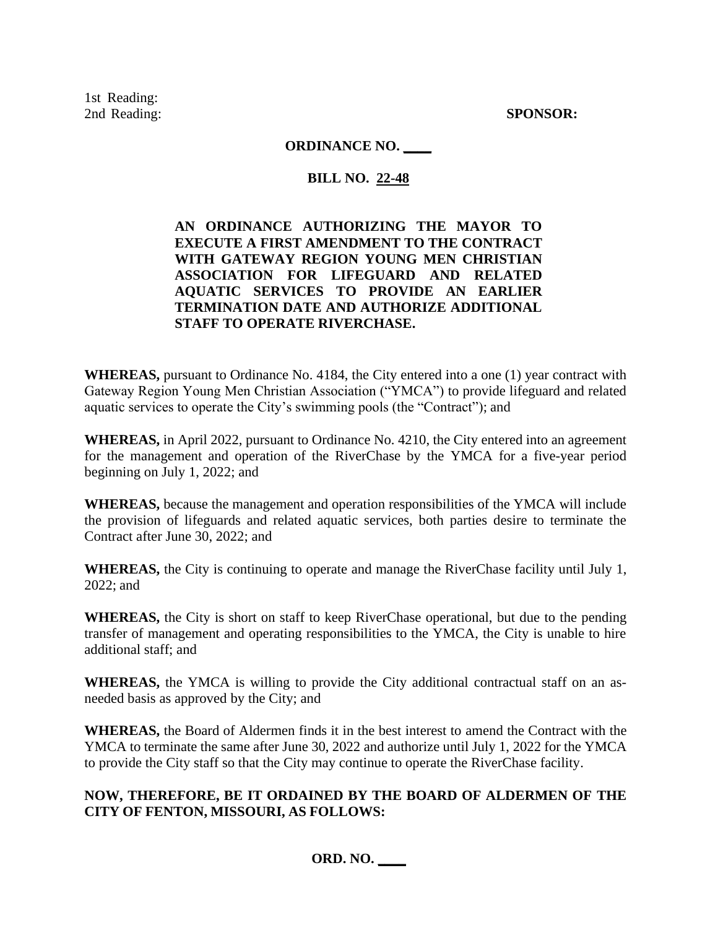1st Reading: 2nd Reading: **SPONSOR:**

### **ORDINANCE NO. \_\_\_\_**

## **BILL NO. 22-48**

# **AN ORDINANCE AUTHORIZING THE MAYOR TO EXECUTE A FIRST AMENDMENT TO THE CONTRACT WITH GATEWAY REGION YOUNG MEN CHRISTIAN ASSOCIATION FOR LIFEGUARD AND RELATED AQUATIC SERVICES TO PROVIDE AN EARLIER TERMINATION DATE AND AUTHORIZE ADDITIONAL STAFF TO OPERATE RIVERCHASE.**

**WHEREAS,** pursuant to Ordinance No. 4184, the City entered into a one (1) year contract with Gateway Region Young Men Christian Association ("YMCA") to provide lifeguard and related aquatic services to operate the City's swimming pools (the "Contract"); and

**WHEREAS,** in April 2022, pursuant to Ordinance No. 4210, the City entered into an agreement for the management and operation of the RiverChase by the YMCA for a five-year period beginning on July 1, 2022; and

**WHEREAS,** because the management and operation responsibilities of the YMCA will include the provision of lifeguards and related aquatic services, both parties desire to terminate the Contract after June 30, 2022; and

**WHEREAS,** the City is continuing to operate and manage the RiverChase facility until July 1, 2022; and

**WHEREAS,** the City is short on staff to keep RiverChase operational, but due to the pending transfer of management and operating responsibilities to the YMCA, the City is unable to hire additional staff; and

**WHEREAS,** the YMCA is willing to provide the City additional contractual staff on an asneeded basis as approved by the City; and

**WHEREAS,** the Board of Aldermen finds it in the best interest to amend the Contract with the YMCA to terminate the same after June 30, 2022 and authorize until July 1, 2022 for the YMCA to provide the City staff so that the City may continue to operate the RiverChase facility.

### **NOW, THEREFORE, BE IT ORDAINED BY THE BOARD OF ALDERMEN OF THE CITY OF FENTON, MISSOURI, AS FOLLOWS:**

**ORD. NO. \_\_\_\_**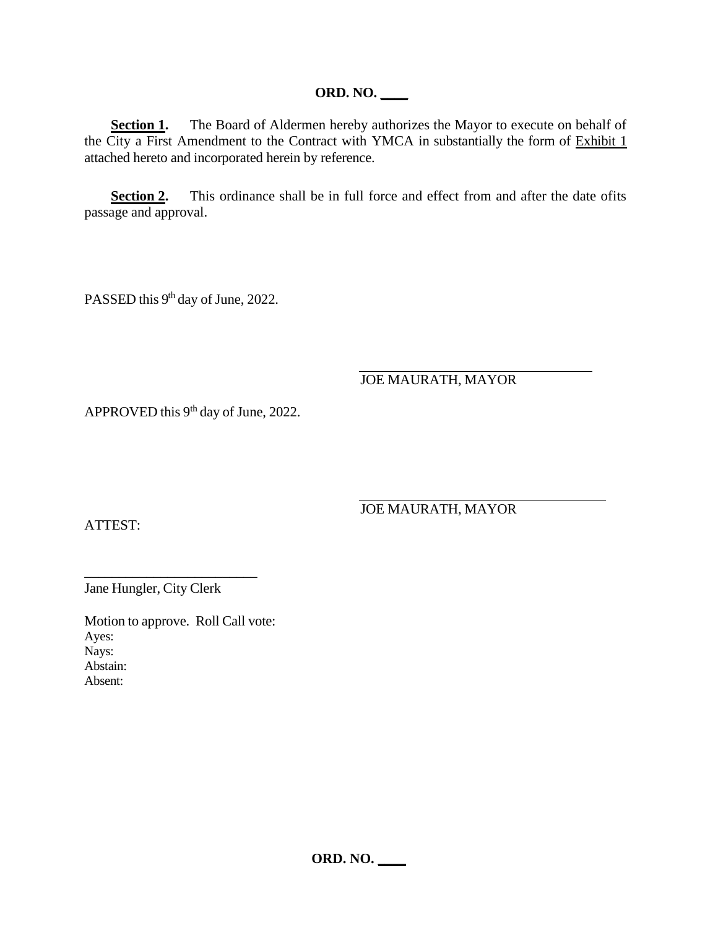## **ORD. NO. \_\_\_\_**

**Section 1.** The Board of Aldermen hereby authorizes the Mayor to execute on behalf of the City a First Amendment to the Contract with YMCA in substantially the form of Exhibit 1 attached hereto and incorporated herein by reference.

**Section 2.** This ordinance shall be in full force and effect from and after the date of its passage and approval.

PASSED this 9<sup>th</sup> day of June, 2022.

JOE MAURATH, MAYOR

APPROVED this  $9<sup>th</sup>$  day of June, 2022.

ATTEST:

JOE MAURATH, MAYOR

Jane Hungler, City Clerk

\_\_\_\_\_\_\_\_\_\_\_\_\_\_\_\_\_\_\_\_\_\_\_\_\_

Motion to approve. Roll Call vote: Ayes: Nays: Abstain: Absent:

**ORD. NO. \_\_\_\_**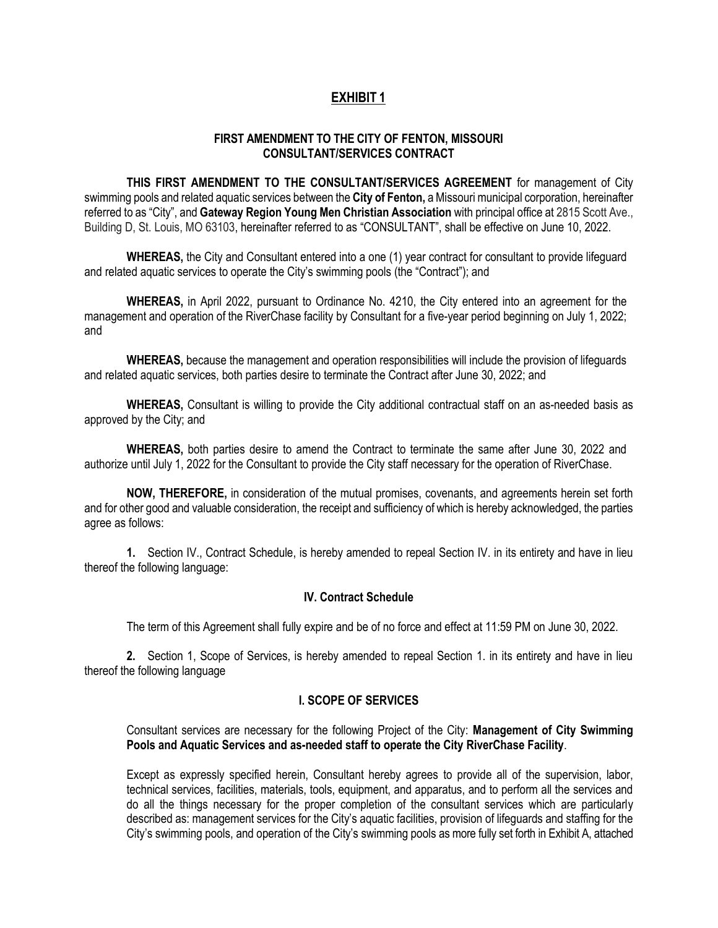### **EXHIBIT 1**

#### **FIRST AMENDMENT TO THE CITY OF FENTON, MISSOURI CONSULTANT/SERVICES CONTRACT**

**THIS FIRST AMENDMENT TO THE CONSULTANT/SERVICES AGREEMENT** for management of City swimming pools and related aquatic services between the **City of Fenton,** a Missouri municipal corporation, hereinafter referred to as "City", and **Gateway Region Young Men Christian Association** with principal office at 2815 Scott Ave., Building D, St. Louis, MO 63103, hereinafter referred to as "CONSULTANT", shall be effective on June 10, 2022.

WHEREAS, the City and Consultant entered into a one (1) year contract for consultant to provide lifeguard and related aquatic services to operate the City's swimming pools (the "Contract"); and

**WHEREAS,** in April 2022, pursuant to Ordinance No. 4210, the City entered into an agreement for the management and operation of the RiverChase facility by Consultant for a five-year period beginning on July 1, 2022; and

**WHEREAS,** because the management and operation responsibilities will include the provision of lifeguards and related aquatic services, both parties desire to terminate the Contract after June 30, 2022; and

**WHEREAS,** Consultant is willing to provide the City additional contractual staff on an as-needed basis as approved by the City; and

**WHEREAS,** both parties desire to amend the Contract to terminate the same after June 30, 2022 and authorize until July 1, 2022 for the Consultant to provide the City staff necessary for the operation of RiverChase.

**NOW, THEREFORE,** in consideration of the mutual promises, covenants, and agreements herein set forth and for other good and valuable consideration, the receipt and sufficiency of which is hereby acknowledged, the parties agree as follows:

**1.** Section IV., Contract Schedule, is hereby amended to repeal Section IV. in its entirety and have in lieu thereof the following language:

#### **IV. Contract Schedule**

The term of this Agreement shall fully expire and be of no force and effect at 11:59 PM on June 30, 2022.

**2.** Section 1, Scope of Services, is hereby amended to repeal Section 1. in its entirety and have in lieu thereof the following language

#### **I. SCOPE OF SERVICES**

Consultant services are necessary for the following Project of the City: **Management of City Swimming Pools and Aquatic Services and as-needed staff to operate the City RiverChase Facility**.

Except as expressly specified herein, Consultant hereby agrees to provide all of the supervision, labor, technical services, facilities, materials, tools, equipment, and apparatus, and to perform all the services and do all the things necessary for the proper completion of the consultant services which are particularly described as: management services for the City's aquatic facilities, provision of lifeguards and staffing for the City's swimming pools, and operation of the City's swimming pools as more fully set forth in Exhibit A, attached